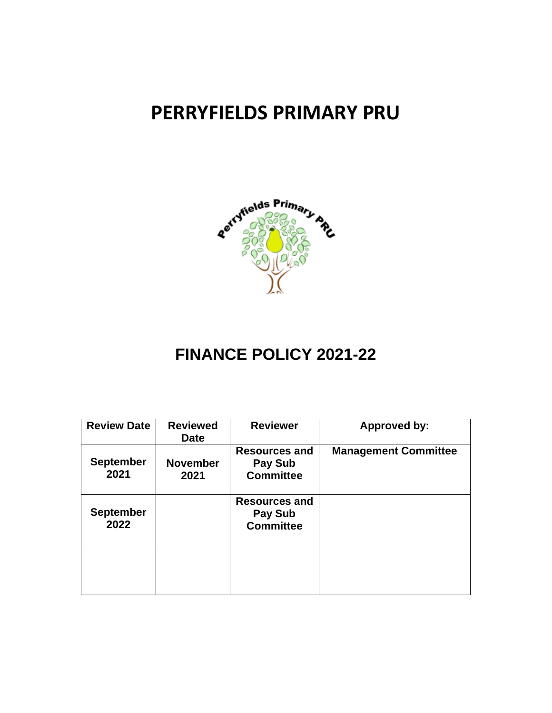# **PERRYFIELDS PRIMARY PRU**



# **FINANCE POLICY 2021-22**

| <b>Review Date</b>       | <b>Reviewed</b><br><b>Date</b> | <b>Reviewer</b>                                     | <b>Approved by:</b>         |
|--------------------------|--------------------------------|-----------------------------------------------------|-----------------------------|
| <b>September</b><br>2021 | <b>November</b><br>2021        | <b>Resources and</b><br>Pay Sub<br><b>Committee</b> | <b>Management Committee</b> |
| <b>September</b><br>2022 |                                | <b>Resources and</b><br>Pay Sub<br><b>Committee</b> |                             |
|                          |                                |                                                     |                             |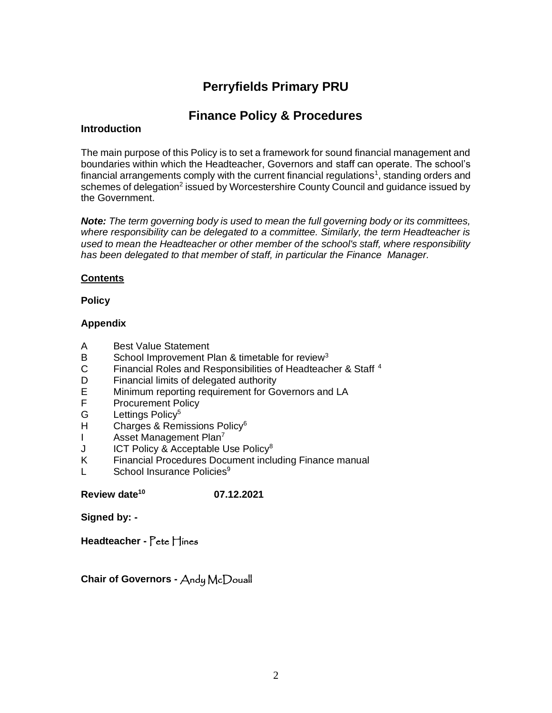# **Perryfields Primary PRU**

# **Finance Policy & Procedures**

#### **Introduction**

The main purpose of this Policy is to set a framework for sound financial management and boundaries within which the Headteacher, Governors and staff can operate. The school's financial arrangements comply with the current financial regulations<sup>1</sup>, standing orders and schemes of delegation<sup>2</sup> issued by Worcestershire County Council and guidance issued by the Government.

*Note: The term governing body is used to mean the full governing body or its committees, where responsibility can be delegated to a committee. Similarly, the term Headteacher is used to mean the Headteacher or other member of the school's staff, where responsibility has been delegated to that member of staff, in particular the Finance Manager.*

#### **Contents**

#### **Policy**

#### **Appendix**

- A Best Value Statement
- B School Improvement Plan & timetable for review<sup>3</sup>
- C Financial Roles and Responsibilities of Headteacher & Staff <sup>4</sup>
- D Financial limits of delegated authority<br>E Minimum reporting requirement for Go
- Minimum reporting requirement for Governors and LA
- F Procurement Policy
- G Lettings Policy<sup>5</sup>
- H Charges & Remissions Policy<sup>6</sup>
- I Asset Management Plan<sup>7</sup>
- J ICT Policy & Acceptable Use Policy<sup>8</sup>
- K Financial Procedures Document including Finance manual
- L School Insurance Policies<sup>9</sup>

**Review date<sup>10</sup> 07.12.2021** 

**Signed by: -**

**Headteacher -** Pete Hines

**Chair of Governors -** Andy McDouall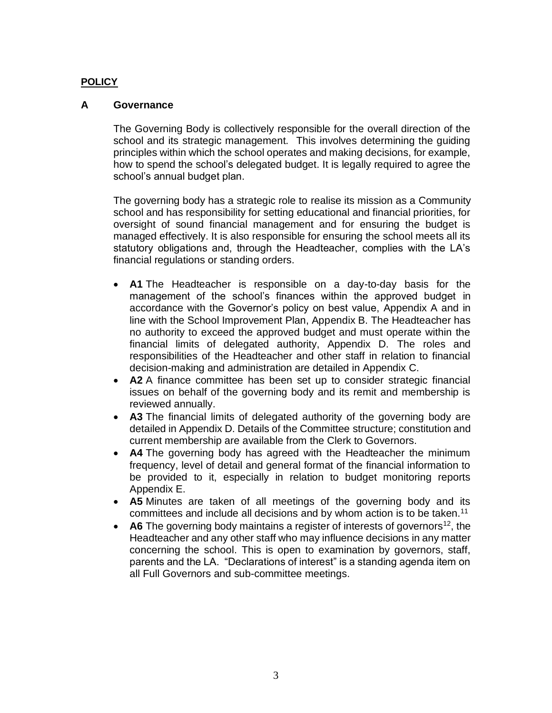#### **POLICY**

#### **A Governance**

The Governing Body is collectively responsible for the overall direction of the school and its strategic management. This involves determining the guiding principles within which the school operates and making decisions, for example, how to spend the school's delegated budget. It is legally required to agree the school's annual budget plan.

The governing body has a strategic role to realise its mission as a Community school and has responsibility for setting educational and financial priorities, for oversight of sound financial management and for ensuring the budget is managed effectively. It is also responsible for ensuring the school meets all its statutory obligations and, through the Headteacher, complies with the LA's financial regulations or standing orders.

- **A1** The Headteacher is responsible on a day-to-day basis for the management of the school's finances within the approved budget in accordance with the Governor's policy on best value, Appendix A and in line with the School Improvement Plan, Appendix B. The Headteacher has no authority to exceed the approved budget and must operate within the financial limits of delegated authority, Appendix D. The roles and responsibilities of the Headteacher and other staff in relation to financial decision-making and administration are detailed in Appendix C.
- **A2** A finance committee has been set up to consider strategic financial issues on behalf of the governing body and its remit and membership is reviewed annually.
- **A3** The financial limits of delegated authority of the governing body are detailed in Appendix D. Details of the Committee structure; constitution and current membership are available from the Clerk to Governors.
- **A4** The governing body has agreed with the Headteacher the minimum frequency, level of detail and general format of the financial information to be provided to it, especially in relation to budget monitoring reports Appendix E.
- **A5** Minutes are taken of all meetings of the governing body and its committees and include all decisions and by whom action is to be taken.<sup>11</sup>
- A6 The governing body maintains a register of interests of governors<sup>12</sup>, the Headteacher and any other staff who may influence decisions in any matter concerning the school. This is open to examination by governors, staff, parents and the LA. "Declarations of interest" is a standing agenda item on all Full Governors and sub-committee meetings.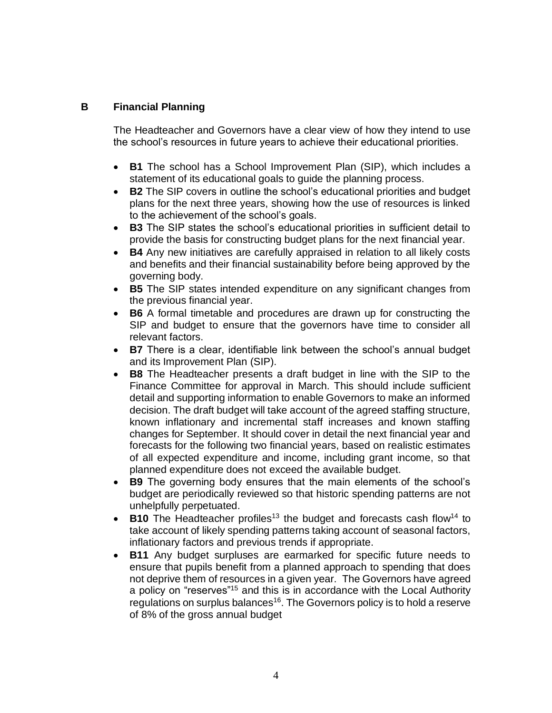# **B Financial Planning**

The Headteacher and Governors have a clear view of how they intend to use the school's resources in future years to achieve their educational priorities.

- **B1** The school has a School Improvement Plan (SIP), which includes a statement of its educational goals to guide the planning process.
- **B2** The SIP covers in outline the school's educational priorities and budget plans for the next three years, showing how the use of resources is linked to the achievement of the school's goals.
- **B3** The SIP states the school's educational priorities in sufficient detail to provide the basis for constructing budget plans for the next financial year.
- **B4** Any new initiatives are carefully appraised in relation to all likely costs and benefits and their financial sustainability before being approved by the governing body.
- **B5** The SIP states intended expenditure on any significant changes from the previous financial year.
- **B6** A formal timetable and procedures are drawn up for constructing the SIP and budget to ensure that the governors have time to consider all relevant factors.
- **B7** There is a clear, identifiable link between the school's annual budget and its Improvement Plan (SIP).
- **B8** The Headteacher presents a draft budget in line with the SIP to the Finance Committee for approval in March. This should include sufficient detail and supporting information to enable Governors to make an informed decision. The draft budget will take account of the agreed staffing structure, known inflationary and incremental staff increases and known staffing changes for September. It should cover in detail the next financial year and forecasts for the following two financial years, based on realistic estimates of all expected expenditure and income, including grant income, so that planned expenditure does not exceed the available budget.
- **B9** The governing body ensures that the main elements of the school's budget are periodically reviewed so that historic spending patterns are not unhelpfully perpetuated.
- **B10** The Headteacher profiles<sup>13</sup> the budget and forecasts cash flow<sup>14</sup> to take account of likely spending patterns taking account of seasonal factors, inflationary factors and previous trends if appropriate.
- **B11** Any budget surpluses are earmarked for specific future needs to ensure that pupils benefit from a planned approach to spending that does not deprive them of resources in a given year. The Governors have agreed a policy on "reserves"<sup>15</sup> and this is in accordance with the Local Authority regulations on surplus balances<sup>16</sup>. The Governors policy is to hold a reserve of 8% of the gross annual budget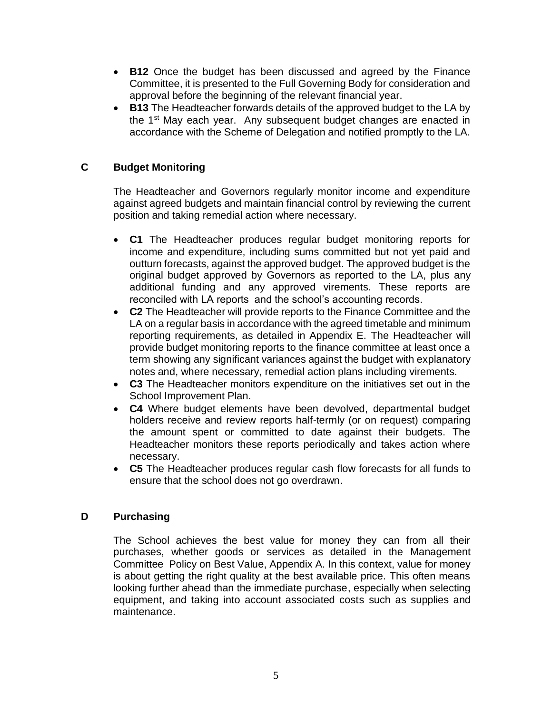- **B12** Once the budget has been discussed and agreed by the Finance Committee, it is presented to the Full Governing Body for consideration and approval before the beginning of the relevant financial year.
- **B13** The Headteacher forwards details of the approved budget to the LA by the 1<sup>st</sup> May each year. Any subsequent budget changes are enacted in accordance with the Scheme of Delegation and notified promptly to the LA.

# **C Budget Monitoring**

The Headteacher and Governors regularly monitor income and expenditure against agreed budgets and maintain financial control by reviewing the current position and taking remedial action where necessary.

- **C1** The Headteacher produces regular budget monitoring reports for income and expenditure, including sums committed but not yet paid and outturn forecasts, against the approved budget. The approved budget is the original budget approved by Governors as reported to the LA, plus any additional funding and any approved virements. These reports are reconciled with LA reports and the school's accounting records.
- **C2** The Headteacher will provide reports to the Finance Committee and the LA on a regular basis in accordance with the agreed timetable and minimum reporting requirements, as detailed in Appendix E. The Headteacher will provide budget monitoring reports to the finance committee at least once a term showing any significant variances against the budget with explanatory notes and, where necessary, remedial action plans including virements.
- **C3** The Headteacher monitors expenditure on the initiatives set out in the School Improvement Plan.
- **C4** Where budget elements have been devolved, departmental budget holders receive and review reports half-termly (or on request) comparing the amount spent or committed to date against their budgets. The Headteacher monitors these reports periodically and takes action where necessary.
- **C5** The Headteacher produces regular cash flow forecasts for all funds to ensure that the school does not go overdrawn.

# **D Purchasing**

The School achieves the best value for money they can from all their purchases, whether goods or services as detailed in the Management Committee Policy on Best Value, Appendix A. In this context, value for money is about getting the right quality at the best available price. This often means looking further ahead than the immediate purchase, especially when selecting equipment, and taking into account associated costs such as supplies and maintenance.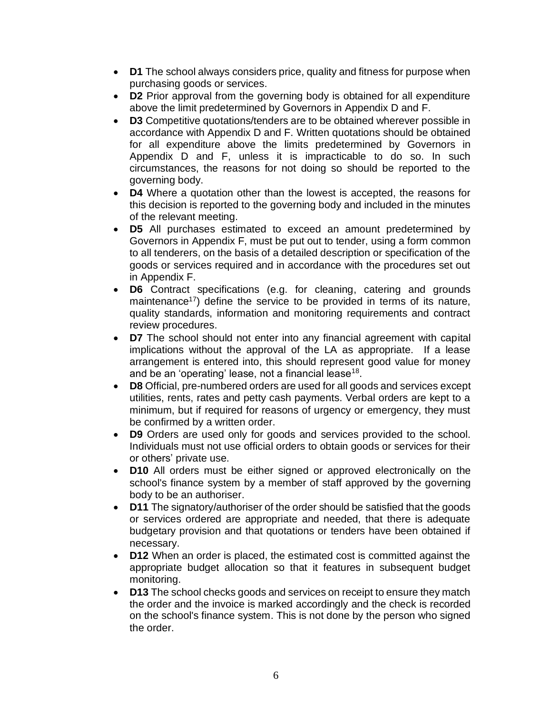- **D1** The school always considers price, quality and fitness for purpose when purchasing goods or services.
- **D2** Prior approval from the governing body is obtained for all expenditure above the limit predetermined by Governors in Appendix D and F.
- **D3** Competitive quotations/tenders are to be obtained wherever possible in accordance with Appendix D and F. Written quotations should be obtained for all expenditure above the limits predetermined by Governors in Appendix D and F, unless it is impracticable to do so. In such circumstances, the reasons for not doing so should be reported to the governing body.
- **D4** Where a quotation other than the lowest is accepted, the reasons for this decision is reported to the governing body and included in the minutes of the relevant meeting.
- **D5** All purchases estimated to exceed an amount predetermined by Governors in Appendix F, must be put out to tender, using a form common to all tenderers, on the basis of a detailed description or specification of the goods or services required and in accordance with the procedures set out in Appendix F.
- **D6** Contract specifications (e.g. for cleaning, catering and grounds maintenance<sup>17</sup>) define the service to be provided in terms of its nature, quality standards, information and monitoring requirements and contract review procedures.
- **D7** The school should not enter into any financial agreement with capital implications without the approval of the LA as appropriate. If a lease arrangement is entered into, this should represent good value for money and be an 'operating' lease, not a financial lease<sup>18</sup>.
- **D8** Official, pre-numbered orders are used for all goods and services except utilities, rents, rates and petty cash payments. Verbal orders are kept to a minimum, but if required for reasons of urgency or emergency, they must be confirmed by a written order.
- **D9** Orders are used only for goods and services provided to the school. Individuals must not use official orders to obtain goods or services for their or others' private use.
- **D10** All orders must be either signed or approved electronically on the school's finance system by a member of staff approved by the governing body to be an authoriser.
- **D11** The signatory/authoriser of the order should be satisfied that the goods or services ordered are appropriate and needed, that there is adequate budgetary provision and that quotations or tenders have been obtained if necessary.
- **D12** When an order is placed, the estimated cost is committed against the appropriate budget allocation so that it features in subsequent budget monitoring.
- **D13** The school checks goods and services on receipt to ensure they match the order and the invoice is marked accordingly and the check is recorded on the school's finance system. This is not done by the person who signed the order.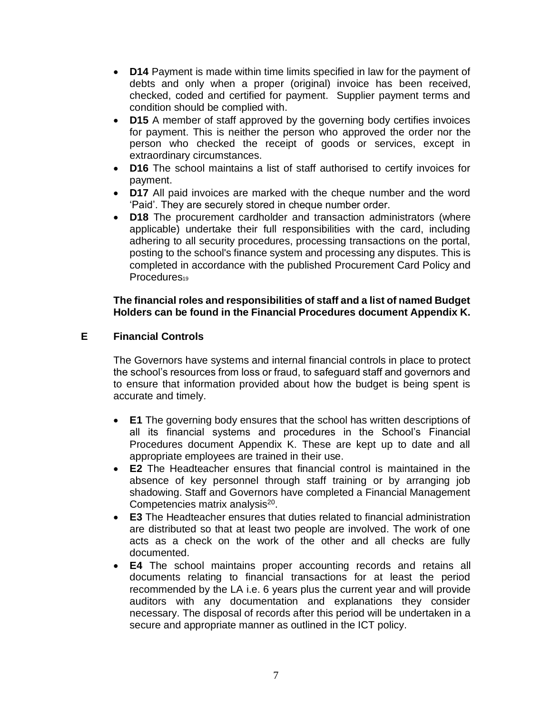- **D14** Payment is made within time limits specified in law for the payment of debts and only when a proper (original) invoice has been received, checked, coded and certified for payment. Supplier payment terms and condition should be complied with.
- **D15** A member of staff approved by the governing body certifies invoices for payment. This is neither the person who approved the order nor the person who checked the receipt of goods or services, except in extraordinary circumstances.
- **D16** The school maintains a list of staff authorised to certify invoices for payment.
- **D17** All paid invoices are marked with the cheque number and the word 'Paid'. They are securely stored in cheque number order.
- **D18** The procurement cardholder and transaction administrators (where applicable) undertake their full responsibilities with the card, including adhering to all security procedures, processing transactions on the portal, posting to the school's finance system and processing any disputes. This is completed in accordance with the published Procurement Card Policy and Procedures<sub>19</sub>

#### **The financial roles and responsibilities of staff and a list of named Budget Holders can be found in the Financial Procedures document Appendix K.**

#### **E Financial Controls**

The Governors have systems and internal financial controls in place to protect the school's resources from loss or fraud, to safeguard staff and governors and to ensure that information provided about how the budget is being spent is accurate and timely.

- **E1** The governing body ensures that the school has written descriptions of all its financial systems and procedures in the School's Financial Procedures document Appendix K. These are kept up to date and all appropriate employees are trained in their use.
- **E2** The Headteacher ensures that financial control is maintained in the absence of key personnel through staff training or by arranging job shadowing. Staff and Governors have completed a Financial Management Competencies matrix analysis $^{20}$ .
- **E3** The Headteacher ensures that duties related to financial administration are distributed so that at least two people are involved. The work of one acts as a check on the work of the other and all checks are fully documented.
- **E4** The school maintains proper accounting records and retains all documents relating to financial transactions for at least the period recommended by the LA i.e. 6 years plus the current year and will provide auditors with any documentation and explanations they consider necessary. The disposal of records after this period will be undertaken in a secure and appropriate manner as outlined in the ICT policy.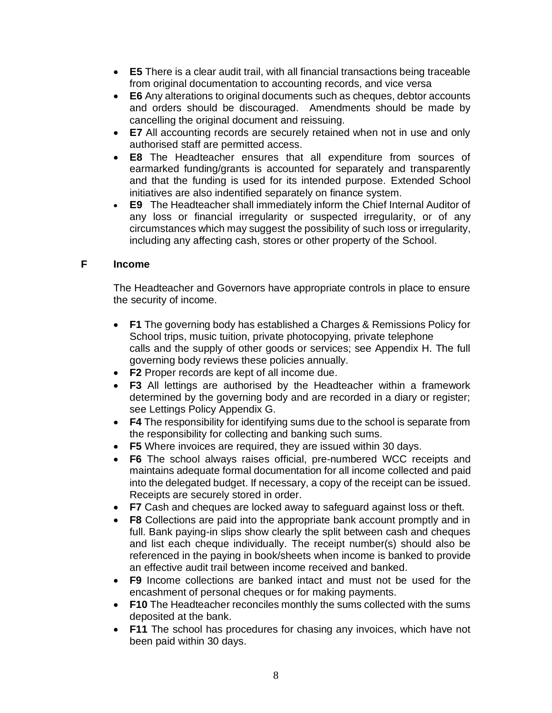- **E5** There is a clear audit trail, with all financial transactions being traceable from original documentation to accounting records, and vice versa
- **E6** Any alterations to original documents such as cheques, debtor accounts and orders should be discouraged. Amendments should be made by cancelling the original document and reissuing.
- **E7** All accounting records are securely retained when not in use and only authorised staff are permitted access.
- **E8** The Headteacher ensures that all expenditure from sources of earmarked funding/grants is accounted for separately and transparently and that the funding is used for its intended purpose. Extended School initiatives are also indentified separately on finance system.
- **E9** The Headteacher shall immediately inform the Chief Internal Auditor of any loss or financial irregularity or suspected irregularity, or of any circumstances which may suggest the possibility of such loss or irregularity, including any affecting cash, stores or other property of the School.

# **F Income**

The Headteacher and Governors have appropriate controls in place to ensure the security of income.

- **F1** The governing body has established a Charges & Remissions Policy for School trips, music tuition, private photocopying, private telephone calls and the supply of other goods or services; see Appendix H. The full governing body reviews these policies annually.
- **F2** Proper records are kept of all income due.
- **F3** All lettings are authorised by the Headteacher within a framework determined by the governing body and are recorded in a diary or register; see Lettings Policy Appendix G.
- **F4** The responsibility for identifying sums due to the school is separate from the responsibility for collecting and banking such sums.
- **F5** Where invoices are required, they are issued within 30 days.
- **F6** The school always raises official, pre-numbered WCC receipts and maintains adequate formal documentation for all income collected and paid into the delegated budget. If necessary, a copy of the receipt can be issued. Receipts are securely stored in order.
- **F7** Cash and cheques are locked away to safeguard against loss or theft.
- **F8** Collections are paid into the appropriate bank account promptly and in full. Bank paying-in slips show clearly the split between cash and cheques and list each cheque individually. The receipt number(s) should also be referenced in the paying in book/sheets when income is banked to provide an effective audit trail between income received and banked.
- **F9** Income collections are banked intact and must not be used for the encashment of personal cheques or for making payments.
- **F10** The Headteacher reconciles monthly the sums collected with the sums deposited at the bank.
- **F11** The school has procedures for chasing any invoices, which have not been paid within 30 days.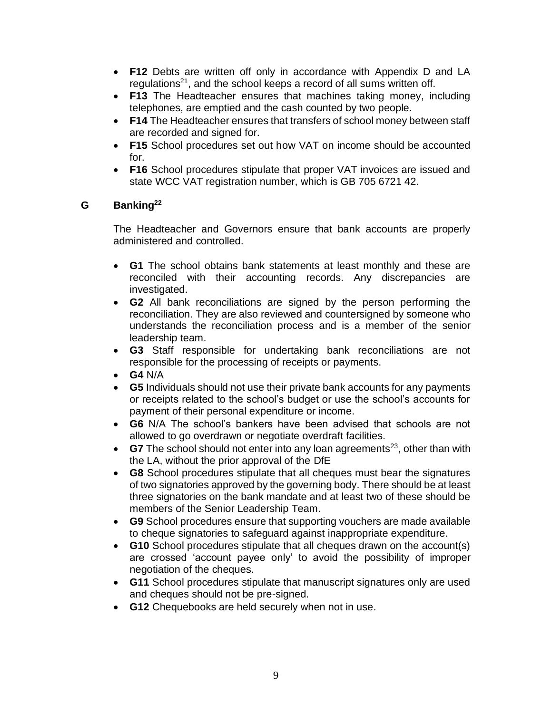- **F12** Debts are written off only in accordance with Appendix D and LA regulations<sup>21</sup>, and the school keeps a record of all sums written off.
- **F13** The Headteacher ensures that machines taking money, including telephones, are emptied and the cash counted by two people.
- **F14** The Headteacher ensures that transfers of school money between staff are recorded and signed for.
- **F15** School procedures set out how VAT on income should be accounted for.
- **F16** School procedures stipulate that proper VAT invoices are issued and state WCC VAT registration number, which is GB 705 6721 42.

# **G Banking<sup>22</sup>**

The Headteacher and Governors ensure that bank accounts are properly administered and controlled.

- **G1** The school obtains bank statements at least monthly and these are reconciled with their accounting records. Any discrepancies are investigated.
- **G2** All bank reconciliations are signed by the person performing the reconciliation. They are also reviewed and countersigned by someone who understands the reconciliation process and is a member of the senior leadership team.
- **G3** Staff responsible for undertaking bank reconciliations are not responsible for the processing of receipts or payments.
- **G4** N/A
- **G5** Individuals should not use their private bank accounts for any payments or receipts related to the school's budget or use the school's accounts for payment of their personal expenditure or income.
- **G6** N/A The school's bankers have been advised that schools are not allowed to go overdrawn or negotiate overdraft facilities.
- **G7** The school should not enter into any loan agreements<sup>23</sup>, other than with the LA, without the prior approval of the DfE
- **G8** School procedures stipulate that all cheques must bear the signatures of two signatories approved by the governing body. There should be at least three signatories on the bank mandate and at least two of these should be members of the Senior Leadership Team.
- **G9** School procedures ensure that supporting vouchers are made available to cheque signatories to safeguard against inappropriate expenditure.
- **G10** School procedures stipulate that all cheques drawn on the account(s) are crossed 'account payee only' to avoid the possibility of improper negotiation of the cheques.
- **G11** School procedures stipulate that manuscript signatures only are used and cheques should not be pre-signed.
- **G12** Chequebooks are held securely when not in use.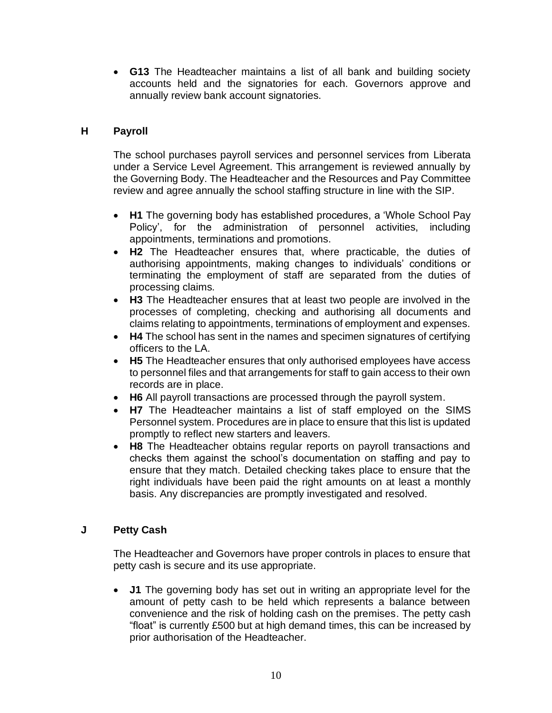• **G13** The Headteacher maintains a list of all bank and building society accounts held and the signatories for each. Governors approve and annually review bank account signatories.

# **H Payroll**

The school purchases payroll services and personnel services from Liberata under a Service Level Agreement. This arrangement is reviewed annually by the Governing Body. The Headteacher and the Resources and Pay Committee review and agree annually the school staffing structure in line with the SIP.

- **H1** The governing body has established procedures, a 'Whole School Pay Policy', for the administration of personnel activities, including appointments, terminations and promotions.
- **H2** The Headteacher ensures that, where practicable, the duties of authorising appointments, making changes to individuals' conditions or terminating the employment of staff are separated from the duties of processing claims.
- **H3** The Headteacher ensures that at least two people are involved in the processes of completing, checking and authorising all documents and claims relating to appointments, terminations of employment and expenses.
- **H4** The school has sent in the names and specimen signatures of certifying officers to the LA.
- **H5** The Headteacher ensures that only authorised employees have access to personnel files and that arrangements for staff to gain access to their own records are in place.
- **H6** All payroll transactions are processed through the payroll system.
- **H7** The Headteacher maintains a list of staff employed on the SIMS Personnel system. Procedures are in place to ensure that this list is updated promptly to reflect new starters and leavers.
- **H8** The Headteacher obtains regular reports on payroll transactions and checks them against the school's documentation on staffing and pay to ensure that they match. Detailed checking takes place to ensure that the right individuals have been paid the right amounts on at least a monthly basis. Any discrepancies are promptly investigated and resolved.

# **J Petty Cash**

The Headteacher and Governors have proper controls in places to ensure that petty cash is secure and its use appropriate.

• **J1** The governing body has set out in writing an appropriate level for the amount of petty cash to be held which represents a balance between convenience and the risk of holding cash on the premises. The petty cash "float" is currently £500 but at high demand times, this can be increased by prior authorisation of the Headteacher.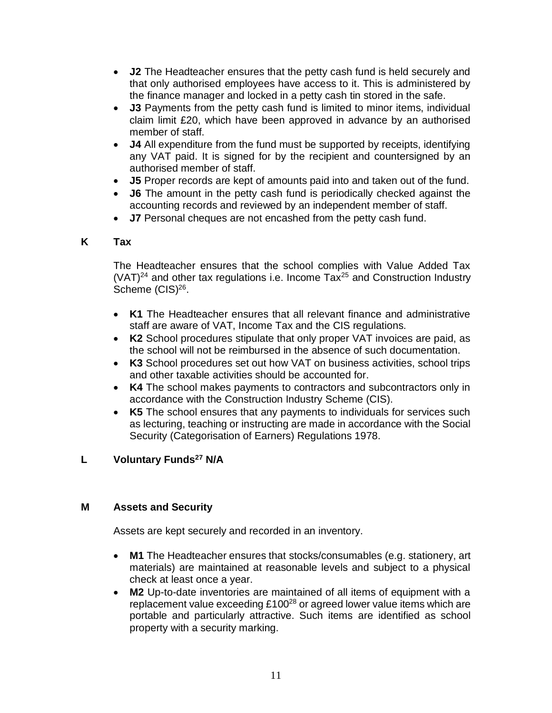- **J2** The Headteacher ensures that the petty cash fund is held securely and that only authorised employees have access to it. This is administered by the finance manager and locked in a petty cash tin stored in the safe.
- **J3** Payments from the petty cash fund is limited to minor items, individual claim limit £20, which have been approved in advance by an authorised member of staff.
- **J4** All expenditure from the fund must be supported by receipts, identifying any VAT paid. It is signed for by the recipient and countersigned by an authorised member of staff.
- **J5** Proper records are kept of amounts paid into and taken out of the fund.
- **J6** The amount in the petty cash fund is periodically checked against the accounting records and reviewed by an independent member of staff.
- **J7** Personal cheques are not encashed from the petty cash fund.

# **K Tax**

The Headteacher ensures that the school complies with Value Added Tax  $(VAT)^{24}$  and other tax regulations i.e. Income Tax<sup>25</sup> and Construction Industry Scheme (CIS)<sup>26</sup>.

- **K1** The Headteacher ensures that all relevant finance and administrative staff are aware of VAT, Income Tax and the CIS regulations.
- **K2** School procedures stipulate that only proper VAT invoices are paid, as the school will not be reimbursed in the absence of such documentation.
- **K3** School procedures set out how VAT on business activities, school trips and other taxable activities should be accounted for.
- **K4** The school makes payments to contractors and subcontractors only in accordance with the Construction Industry Scheme (CIS).
- **K5** The school ensures that any payments to individuals for services such as lecturing, teaching or instructing are made in accordance with the Social Security (Categorisation of Earners) Regulations 1978.

# **L Voluntary Funds<sup>27</sup> N/A**

# **M Assets and Security**

Assets are kept securely and recorded in an inventory.

- **M1** The Headteacher ensures that stocks/consumables (e.g. stationery, art materials) are maintained at reasonable levels and subject to a physical check at least once a year.
- **M2** Up-to-date inventories are maintained of all items of equipment with a replacement value exceeding £100<sup>28</sup> or agreed lower value items which are portable and particularly attractive. Such items are identified as school property with a security marking.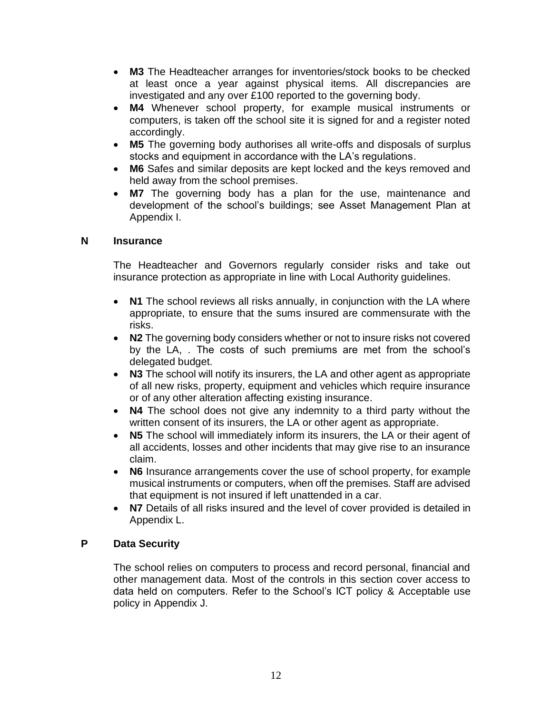- **M3** The Headteacher arranges for inventories/stock books to be checked at least once a year against physical items. All discrepancies are investigated and any over £100 reported to the governing body.
- **M4** Whenever school property, for example musical instruments or computers, is taken off the school site it is signed for and a register noted accordingly.
- **M5** The governing body authorises all write-offs and disposals of surplus stocks and equipment in accordance with the LA's regulations.
- **M6** Safes and similar deposits are kept locked and the keys removed and held away from the school premises.
- **M7** The governing body has a plan for the use, maintenance and development of the school's buildings; see Asset Management Plan at Appendix I.

#### **N Insurance**

The Headteacher and Governors regularly consider risks and take out insurance protection as appropriate in line with Local Authority guidelines.

- **N1** The school reviews all risks annually, in conjunction with the LA where appropriate, to ensure that the sums insured are commensurate with the risks.
- **N2** The governing body considers whether or not to insure risks not covered by the LA, . The costs of such premiums are met from the school's delegated budget.
- **N3** The school will notify its insurers, the LA and other agent as appropriate of all new risks, property, equipment and vehicles which require insurance or of any other alteration affecting existing insurance.
- **N4** The school does not give any indemnity to a third party without the written consent of its insurers, the LA or other agent as appropriate.
- **N5** The school will immediately inform its insurers, the LA or their agent of all accidents, losses and other incidents that may give rise to an insurance claim.
- **N6** Insurance arrangements cover the use of school property, for example musical instruments or computers, when off the premises. Staff are advised that equipment is not insured if left unattended in a car.
- **N7** Details of all risks insured and the level of cover provided is detailed in Appendix L.

# **P Data Security**

The school relies on computers to process and record personal, financial and other management data. Most of the controls in this section cover access to data held on computers. Refer to the School's ICT policy & Acceptable use policy in Appendix J.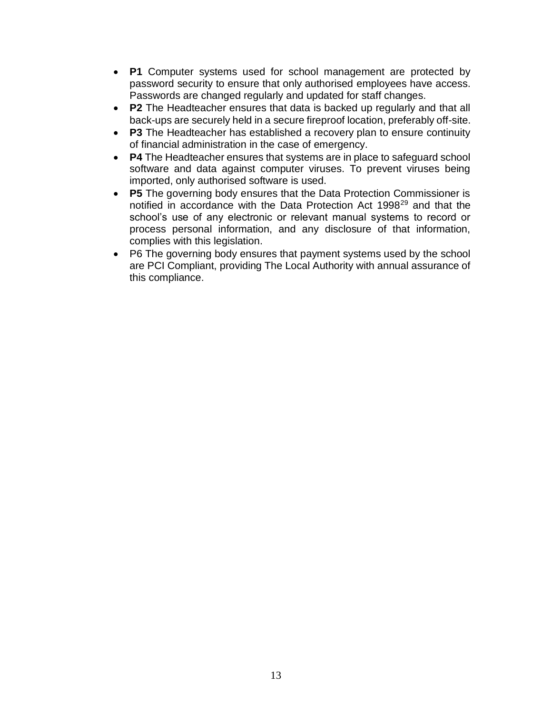- **P1** Computer systems used for school management are protected by password security to ensure that only authorised employees have access. Passwords are changed regularly and updated for staff changes.
- **P2** The Headteacher ensures that data is backed up regularly and that all back-ups are securely held in a secure fireproof location, preferably off-site.
- **P3** The Headteacher has established a recovery plan to ensure continuity of financial administration in the case of emergency.
- **P4** The Headteacher ensures that systems are in place to safeguard school software and data against computer viruses. To prevent viruses being imported, only authorised software is used.
- **P5** The governing body ensures that the Data Protection Commissioner is notified in accordance with the Data Protection Act 1998<sup>29</sup> and that the school's use of any electronic or relevant manual systems to record or process personal information, and any disclosure of that information, complies with this legislation.
- P6 The governing body ensures that payment systems used by the school are PCI Compliant, providing The Local Authority with annual assurance of this compliance.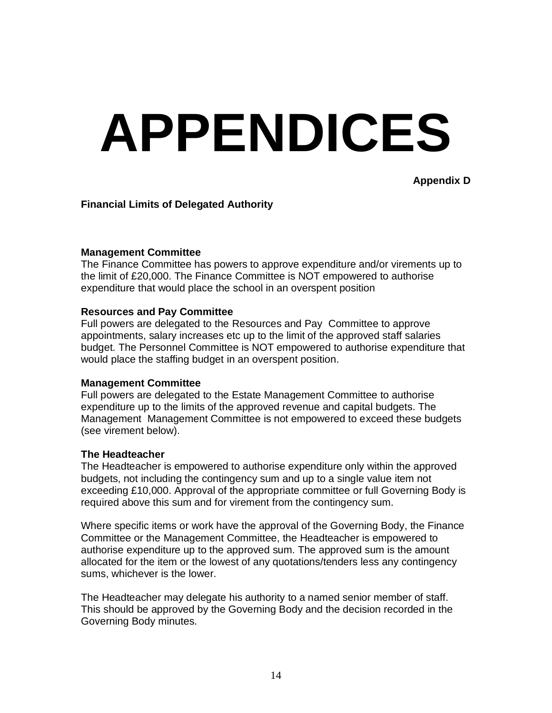# **APPENDICES**

**Appendix D**

#### **Financial Limits of Delegated Authority**

#### **Management Committee**

The Finance Committee has powers to approve expenditure and/or virements up to the limit of £20,000. The Finance Committee is NOT empowered to authorise expenditure that would place the school in an overspent position

#### **Resources and Pay Committee**

Full powers are delegated to the Resources and Pay Committee to approve appointments, salary increases etc up to the limit of the approved staff salaries budget. The Personnel Committee is NOT empowered to authorise expenditure that would place the staffing budget in an overspent position.

#### **Management Committee**

Full powers are delegated to the Estate Management Committee to authorise expenditure up to the limits of the approved revenue and capital budgets. The Management Management Committee is not empowered to exceed these budgets (see virement below).

#### **The Headteacher**

The Headteacher is empowered to authorise expenditure only within the approved budgets, not including the contingency sum and up to a single value item not exceeding £10,000. Approval of the appropriate committee or full Governing Body is required above this sum and for virement from the contingency sum.

Where specific items or work have the approval of the Governing Body, the Finance Committee or the Management Committee, the Headteacher is empowered to authorise expenditure up to the approved sum. The approved sum is the amount allocated for the item or the lowest of any quotations/tenders less any contingency sums, whichever is the lower.

The Headteacher may delegate his authority to a named senior member of staff. This should be approved by the Governing Body and the decision recorded in the Governing Body minutes.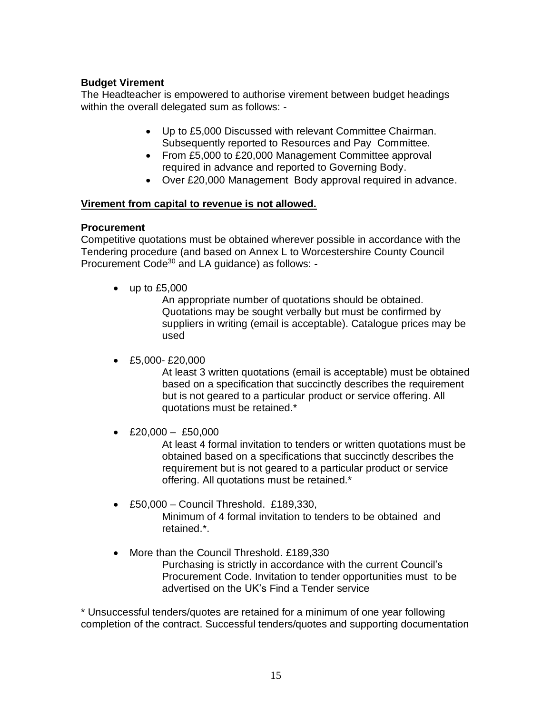#### **Budget Virement**

The Headteacher is empowered to authorise virement between budget headings within the overall delegated sum as follows: -

- Up to £5,000 Discussed with relevant Committee Chairman. Subsequently reported to Resources and Pay Committee.
- From £5,000 to £20,000 Management Committee approval required in advance and reported to Governing Body.
- Over £20,000 Management Body approval required in advance.

#### **Virement from capital to revenue is not allowed.**

#### **Procurement**

Competitive quotations must be obtained wherever possible in accordance with the Tendering procedure (and based on Annex L to Worcestershire County Council Procurement Code<sup>30</sup> and LA guidance) as follows: -

 $\bullet$  up to £5,000

An appropriate number of quotations should be obtained. Quotations may be sought verbally but must be confirmed by suppliers in writing (email is acceptable). Catalogue prices may be used

 $\cdot$  £5,000-£20,000

At least 3 written quotations (email is acceptable) must be obtained based on a specification that succinctly describes the requirement but is not geared to a particular product or service offering. All quotations must be retained.\*

• £20,000 – £50,000

At least 4 formal invitation to tenders or written quotations must be obtained based on a specifications that succinctly describes the requirement but is not geared to a particular product or service offering. All quotations must be retained.\*

- £50,000 Council Threshold. £189,330, Minimum of 4 formal invitation to tenders to be obtained and retained.\*.
- More than the Council Threshold. £189,330 Purchasing is strictly in accordance with the current Council's Procurement Code. Invitation to tender opportunities must to be advertised on the UK's Find a Tender service

\* Unsuccessful tenders/quotes are retained for a minimum of one year following completion of the contract. Successful tenders/quotes and supporting documentation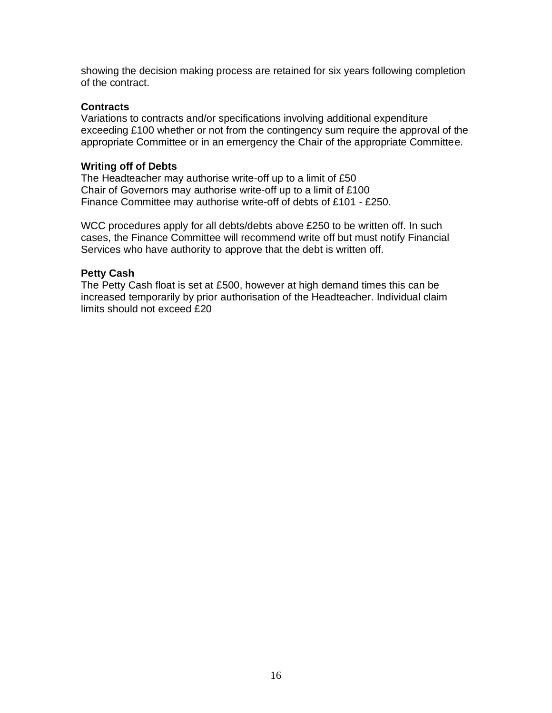showing the decision making process are retained for six years following completion of the contract.

#### **Contracts**

Variations to contracts and/or specifications involving additional expenditure exceeding £100 whether or not from the contingency sum require the approval of the appropriate Committee or in an emergency the Chair of the appropriate Committee.

#### **Writing off of Debts**

The Headteacher may authorise write-off up to a limit of £50 Chair of Governors may authorise write-off up to a limit of £100 Finance Committee may authorise write-off of debts of £101 - £250.

WCC procedures apply for all debts/debts above £250 to be written off. In such cases, the Finance Committee will recommend write off but must notify Financial Services who have authority to approve that the debt is written off.

#### **Petty Cash**

The Petty Cash float is set at £500, however at high demand times this can be increased temporarily by prior authorisation of the Headteacher. Individual claim limits should not exceed £20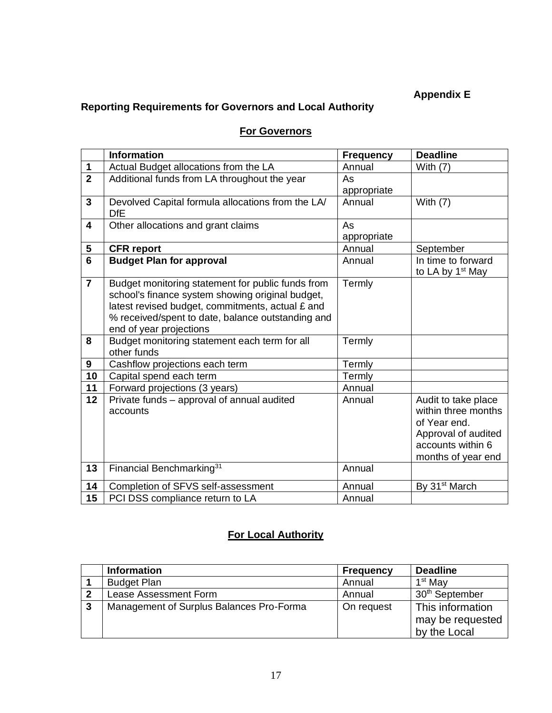# **Appendix E**

# **Reporting Requirements for Governors and Local Authority**

# **For Governors**

|                         | <b>Information</b>                                                                                                                                                                                                                        | <b>Frequency</b> | <b>Deadline</b>                                                                                                              |
|-------------------------|-------------------------------------------------------------------------------------------------------------------------------------------------------------------------------------------------------------------------------------------|------------------|------------------------------------------------------------------------------------------------------------------------------|
| $\mathbf 1$             | Actual Budget allocations from the LA                                                                                                                                                                                                     | Annual           | With $(7)$                                                                                                                   |
| $\overline{2}$          | Additional funds from LA throughout the year                                                                                                                                                                                              | As               |                                                                                                                              |
|                         |                                                                                                                                                                                                                                           | appropriate      |                                                                                                                              |
| $\overline{3}$          | Devolved Capital formula allocations from the LA/<br><b>DfE</b>                                                                                                                                                                           | Annual           | With $(7)$                                                                                                                   |
| 4                       | Other allocations and grant claims                                                                                                                                                                                                        | As               |                                                                                                                              |
|                         |                                                                                                                                                                                                                                           | appropriate      |                                                                                                                              |
| $\overline{\mathbf{5}}$ | <b>CFR</b> report                                                                                                                                                                                                                         | Annual           | September                                                                                                                    |
| $6\phantom{1}$          | <b>Budget Plan for approval</b>                                                                                                                                                                                                           | Annual           | In time to forward<br>to LA by 1 <sup>st</sup> May                                                                           |
| $\overline{7}$          | Budget monitoring statement for public funds from<br>school's finance system showing original budget,<br>latest revised budget, commitments, actual £ and<br>% received/spent to date, balance outstanding and<br>end of year projections | Termly           |                                                                                                                              |
| 8                       | Budget monitoring statement each term for all<br>other funds                                                                                                                                                                              | Termly           |                                                                                                                              |
| 9                       | Cashflow projections each term                                                                                                                                                                                                            | Termly           |                                                                                                                              |
| 10                      | Capital spend each term                                                                                                                                                                                                                   | Termly           |                                                                                                                              |
| 11                      | Forward projections (3 years)                                                                                                                                                                                                             | Annual           |                                                                                                                              |
| 12                      | Private funds - approval of annual audited<br>accounts                                                                                                                                                                                    | Annual           | Audit to take place<br>within three months<br>of Year end.<br>Approval of audited<br>accounts within 6<br>months of year end |
| 13                      | Financial Benchmarking <sup>31</sup>                                                                                                                                                                                                      | Annual           |                                                                                                                              |
| 14                      | Completion of SFVS self-assessment                                                                                                                                                                                                        | Annual           | By 31 <sup>st</sup> March                                                                                                    |
| 15                      | PCI DSS compliance return to LA                                                                                                                                                                                                           | Annual           |                                                                                                                              |

# **For Local Authority**

|                         | <b>Information</b>                       | <b>Frequency</b> | <b>Deadline</b>                                      |
|-------------------------|------------------------------------------|------------------|------------------------------------------------------|
|                         | <b>Budget Plan</b>                       | Annual           | 1 <sup>st</sup> May                                  |
| $\overline{\mathbf{2}}$ | Lease Assessment Form                    | Annual           | 30 <sup>th</sup> September                           |
| $\mathbf{3}$            | Management of Surplus Balances Pro-Forma | On request       | This information<br>may be requested<br>by the Local |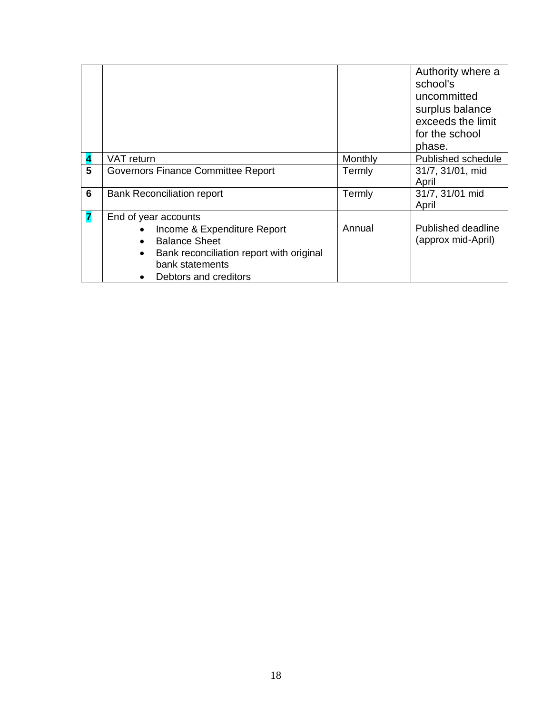|   |                                                             |         | Authority where a<br>school's<br>uncommitted<br>surplus balance<br>exceeds the limit<br>for the school<br>phase. |
|---|-------------------------------------------------------------|---------|------------------------------------------------------------------------------------------------------------------|
|   | VAT return                                                  | Monthly | Published schedule                                                                                               |
| 5 | Governors Finance Committee Report                          | Termly  | 31/7, 31/01, mid<br>April                                                                                        |
| 6 | <b>Bank Reconciliation report</b>                           | Termly  | 31/7, 31/01 mid<br>April                                                                                         |
|   | End of year accounts                                        |         |                                                                                                                  |
|   | Income & Expenditure Report                                 | Annual  | Published deadline                                                                                               |
|   | <b>Balance Sheet</b>                                        |         | (approx mid-April)                                                                                               |
|   | Bank reconciliation report with original<br>bank statements |         |                                                                                                                  |
|   | Debtors and creditors                                       |         |                                                                                                                  |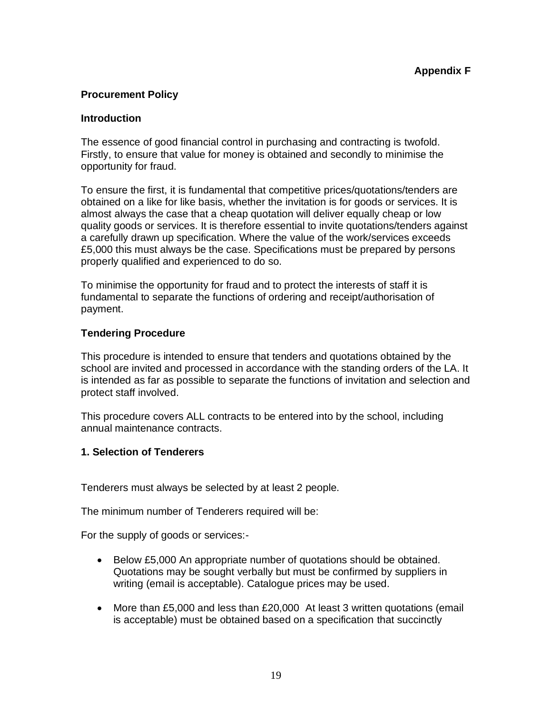# **Procurement Policy**

#### **Introduction**

The essence of good financial control in purchasing and contracting is twofold. Firstly, to ensure that value for money is obtained and secondly to minimise the opportunity for fraud.

To ensure the first, it is fundamental that competitive prices/quotations/tenders are obtained on a like for like basis, whether the invitation is for goods or services. It is almost always the case that a cheap quotation will deliver equally cheap or low quality goods or services. It is therefore essential to invite quotations/tenders against a carefully drawn up specification. Where the value of the work/services exceeds £5,000 this must always be the case. Specifications must be prepared by persons properly qualified and experienced to do so.

To minimise the opportunity for fraud and to protect the interests of staff it is fundamental to separate the functions of ordering and receipt/authorisation of payment.

#### **Tendering Procedure**

This procedure is intended to ensure that tenders and quotations obtained by the school are invited and processed in accordance with the standing orders of the LA. It is intended as far as possible to separate the functions of invitation and selection and protect staff involved.

This procedure covers ALL contracts to be entered into by the school, including annual maintenance contracts.

# **1. Selection of Tenderers**

Tenderers must always be selected by at least 2 people.

The minimum number of Tenderers required will be:

For the supply of goods or services:-

- Below £5,000 An appropriate number of quotations should be obtained. Quotations may be sought verbally but must be confirmed by suppliers in writing (email is acceptable). Catalogue prices may be used.
- More than £5,000 and less than £20,000 At least 3 written quotations (email is acceptable) must be obtained based on a specification that succinctly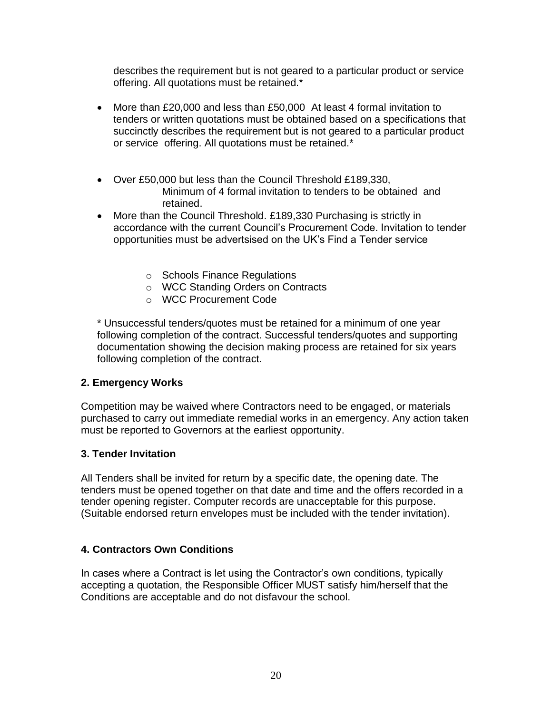describes the requirement but is not geared to a particular product or service offering. All quotations must be retained.\*

- More than £20,000 and less than £50,000 At least 4 formal invitation to tenders or written quotations must be obtained based on a specifications that succinctly describes the requirement but is not geared to a particular product or service offering. All quotations must be retained.\*
- Over £50,000 but less than the Council Threshold £189,330, Minimum of 4 formal invitation to tenders to be obtained and retained.
- More than the Council Threshold. £189,330 Purchasing is strictly in accordance with the current Council's Procurement Code. Invitation to tender opportunities must be advertsised on the UK's Find a Tender service
	- o Schools Finance Regulations
	- o WCC Standing Orders on Contracts
	- o WCC Procurement Code

\* Unsuccessful tenders/quotes must be retained for a minimum of one year following completion of the contract. Successful tenders/quotes and supporting documentation showing the decision making process are retained for six years following completion of the contract.

#### **2. Emergency Works**

Competition may be waived where Contractors need to be engaged, or materials purchased to carry out immediate remedial works in an emergency. Any action taken must be reported to Governors at the earliest opportunity.

#### **3. Tender Invitation**

All Tenders shall be invited for return by a specific date, the opening date. The tenders must be opened together on that date and time and the offers recorded in a tender opening register. Computer records are unacceptable for this purpose. (Suitable endorsed return envelopes must be included with the tender invitation).

#### **4. Contractors Own Conditions**

In cases where a Contract is let using the Contractor's own conditions, typically accepting a quotation, the Responsible Officer MUST satisfy him/herself that the Conditions are acceptable and do not disfavour the school.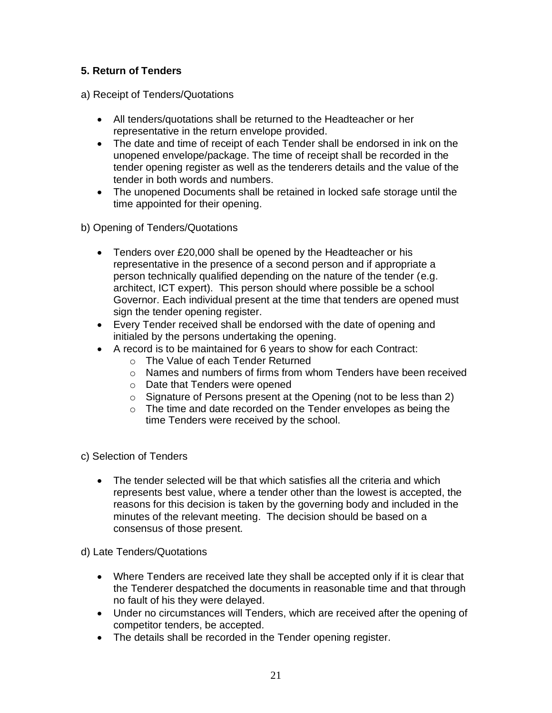# **5. Return of Tenders**

- a) Receipt of Tenders/Quotations
	- All tenders/quotations shall be returned to the Headteacher or her representative in the return envelope provided.
	- The date and time of receipt of each Tender shall be endorsed in ink on the unopened envelope/package. The time of receipt shall be recorded in the tender opening register as well as the tenderers details and the value of the tender in both words and numbers.
	- The unopened Documents shall be retained in locked safe storage until the time appointed for their opening.
- b) Opening of Tenders/Quotations
	- Tenders over £20,000 shall be opened by the Headteacher or his representative in the presence of a second person and if appropriate a person technically qualified depending on the nature of the tender (e.g. architect, ICT expert). This person should where possible be a school Governor. Each individual present at the time that tenders are opened must sign the tender opening register.
	- Every Tender received shall be endorsed with the date of opening and initialed by the persons undertaking the opening.
	- A record is to be maintained for 6 years to show for each Contract:
		- o The Value of each Tender Returned
		- $\circ$  Names and numbers of firms from whom Tenders have been received
		- o Date that Tenders were opened
		- o Signature of Persons present at the Opening (not to be less than 2)
		- $\circ$  The time and date recorded on the Tender envelopes as being the time Tenders were received by the school.
- c) Selection of Tenders
	- The tender selected will be that which satisfies all the criteria and which represents best value, where a tender other than the lowest is accepted, the reasons for this decision is taken by the governing body and included in the minutes of the relevant meeting. The decision should be based on a consensus of those present.

d) Late Tenders/Quotations

- Where Tenders are received late they shall be accepted only if it is clear that the Tenderer despatched the documents in reasonable time and that through no fault of his they were delayed.
- Under no circumstances will Tenders, which are received after the opening of competitor tenders, be accepted.
- The details shall be recorded in the Tender opening register.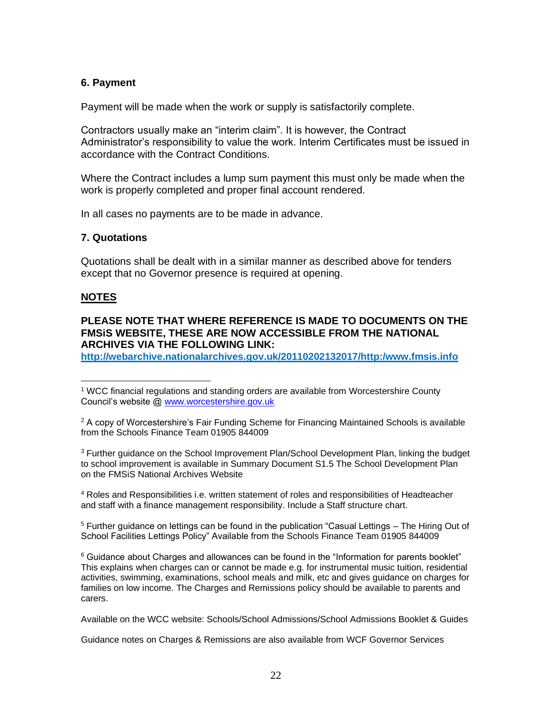#### **6. Payment**

Payment will be made when the work or supply is satisfactorily complete.

Contractors usually make an "interim claim". It is however, the Contract Administrator's responsibility to value the work. Interim Certificates must be issued in accordance with the Contract Conditions.

Where the Contract includes a lump sum payment this must only be made when the work is properly completed and proper final account rendered.

In all cases no payments are to be made in advance.

#### **7. Quotations**

Quotations shall be dealt with in a similar manner as described above for tenders except that no Governor presence is required at opening.

#### **NOTES**

#### **PLEASE NOTE THAT WHERE REFERENCE IS MADE TO DOCUMENTS ON THE FMSiS WEBSITE, THESE ARE NOW ACCESSIBLE FROM THE NATIONAL ARCHIVES VIA THE FOLLOWING LINK:**

**<http://webarchive.nationalarchives.gov.uk/20110202132017/http:/www.fmsis.info>**

<sup>3</sup> Further guidance on the School Improvement Plan/School Development Plan, linking the budget to school improvement is available in Summary Document S1.5 The School Development Plan on the FMSiS National Archives Website

<sup>4</sup> Roles and Responsibilities i.e. written statement of roles and responsibilities of Headteacher and staff with a finance management responsibility. Include a Staff structure chart.

 $5$  Further guidance on lettings can be found in the publication "Casual Lettings  $-$  The Hiring Out of School Facilities Lettings Policy" Available from the Schools Finance Team 01905 844009

 $6$  Guidance about Charges and allowances can be found in the "Information for parents booklet" This explains when charges can or cannot be made e.g. for instrumental music tuition, residential activities, swimming, examinations, school meals and milk, etc and gives guidance on charges for families on low income. The Charges and Remissions policy should be available to parents and carers.

Available on the WCC website: Schools/School Admissions/School Admissions Booklet & Guides

Guidance notes on Charges & Remissions are also available from WCF Governor Services

<sup>1</sup> WCC financial regulations and standing orders are available from Worcestershire County Council's website @ [www.worcestershire.gov.uk](http://www.worcestershire.gov.uk/)

 $2$  A copy of Worcestershire's Fair Funding Scheme for Financing Maintained Schools is available from the Schools Finance Team 01905 844009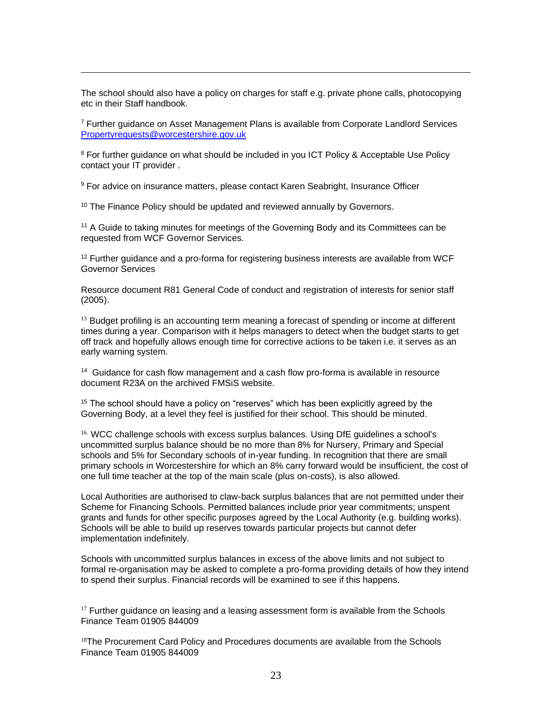The school should also have a policy on charges for staff e.g. private phone calls, photocopying etc in their Staff handbook.

 $7$  Further guidance on Asset Management Plans is available from Corporate Landlord Services [Propertyrequests@worcestershire.gov.uk](mailto:Propertyrequests@worcestershire.gov.uk)

<sup>8</sup> For further guidance on what should be included in you ICT Policy & Acceptable Use Policy contact your IT provider .

<sup>9</sup> For advice on insurance matters, please contact Karen Seabright, Insurance Officer

<sup>10</sup> The Finance Policy should be updated and reviewed annually by Governors.

<sup>11</sup> A Guide to taking minutes for meetings of the Governing Body and its Committees can be requested from WCF Governor Services.

 $12$  Further guidance and a pro-forma for registering business interests are available from WCF Governor Services

Resource document R81 General Code of conduct and registration of interests for senior staff (2005).

 $<sup>13</sup>$  Budget profiling is an accounting term meaning a forecast of spending or income at different</sup> times during a year. Comparison with it helps managers to detect when the budget starts to get off track and hopefully allows enough time for corrective actions to be taken i.e. it serves as an early warning system.

<sup>14</sup> Guidance for cash flow management and a cash flow pro-forma is available in resource document R23A on the archived FMSiS website.

<sup>15</sup> The school should have a policy on "reserves" which has been explicitly agreed by the Governing Body, at a level they feel is justified for their school. This should be minuted.

<sup>16.</sup> WCC challenge schools with excess surplus balances. Using DfE guidelines a school's uncommitted surplus balance should be no more than 8% for Nursery, Primary and Special schools and 5% for Secondary schools of in-year funding. In recognition that there are small primary schools in Worcestershire for which an 8% carry forward would be insufficient, the cost of one full time teacher at the top of the main scale (plus on-costs), is also allowed.

Local Authorities are authorised to claw-back surplus balances that are not permitted under their Scheme for Financing Schools. Permitted balances include prior year commitments; unspent grants and funds for other specific purposes agreed by the Local Authority (e.g. building works). Schools will be able to build up reserves towards particular projects but cannot defer implementation indefinitely.

Schools with uncommitted surplus balances in excess of the above limits and not subject to formal re-organisation may be asked to complete a pro-forma providing details of how they intend to spend their surplus. Financial records will be examined to see if this happens.

 $17$  Further quidance on leasing and a leasing assessment form is available from the Schools Finance Team 01905 844009

 $18$ The Procurement Card Policy and Procedures documents are available from the Schools Finance Team 01905 844009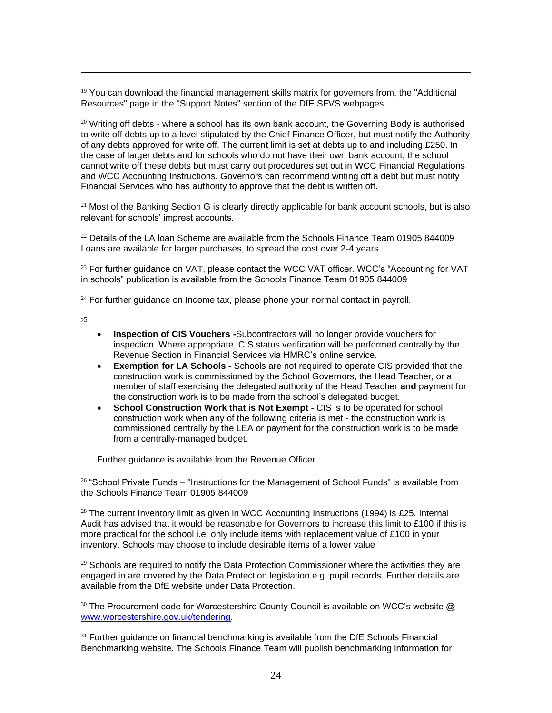$19$  You can download the financial management skills matrix for governors from, the "Additional Resources" page in the "Support Notes" section of the DfE SFVS webpages.

 $20$  Writing off debts - where a school has its own bank account, the Governing Body is authorised to write off debts up to a level stipulated by the Chief Finance Officer, but must notify the Authority of any debts approved for write off. The current limit is set at debts up to and including £250. In the case of larger debts and for schools who do not have their own bank account, the school cannot write off these debts but must carry out procedures set out in WCC Financial Regulations and WCC Accounting Instructions. Governors can recommend writing off a debt but must notify Financial Services who has authority to approve that the debt is written off.

 $21$  Most of the Banking Section G is clearly directly applicable for bank account schools, but is also relevant for schools' imprest accounts.

 $22$  Details of the LA loan Scheme are available from the Schools Finance Team 01905 844009 Loans are available for larger purchases, to spread the cost over 2-4 years.

<sup>23</sup> For further guidance on VAT, please contact the WCC VAT officer. WCC's "Accounting for VAT in schools" publication is available from the Schools Finance Team 01905 844009

 $24$  For further guidance on Income tax, please phone your normal contact in payroll.

 $25$ 

- **Inspection of CIS Vouchers -**Subcontractors will no longer provide vouchers for inspection. Where appropriate, CIS status verification will be performed centrally by the Revenue Section in Financial Services via HMRC's online service.
- **Exemption for LA Schools -** Schools are not required to operate CIS provided that the construction work is commissioned by the School Governors, the Head Teacher, or a member of staff exercising the delegated authority of the Head Teacher **and** payment for the construction work is to be made from the school's delegated budget.
- **School Construction Work that is Not Exempt CIS is to be operated for school** construction work when any of the following criteria is met - the construction work is commissioned centrally by the LEA or payment for the construction work is to be made from a centrally-managed budget.

Further guidance is available from the Revenue Officer.

 $26$  "School Private Funds – "Instructions for the Management of School Funds" is available from the Schools Finance Team 01905 844009

<sup>28</sup> The current Inventory limit as given in WCC Accounting Instructions (1994) is £25. Internal Audit has advised that it would be reasonable for Governors to increase this limit to £100 if this is more practical for the school i.e. only include items with replacement value of £100 in your inventory. Schools may choose to include desirable items of a lower value

 $29$  Schools are required to notify the Data Protection Commissioner where the activities they are engaged in are covered by the Data Protection legislation e.g. pupil records. Further details are available from the DfE website under Data Protection.

<sup>30</sup> The Procurement code for Worcestershire County Council is available on WCC's website @ [www.worcestershire.gov.uk/tendering.](http://www.worcestershire.gov.uk/tendering)

 $31$  Further guidance on financial benchmarking is available from the DfE Schools Financial Benchmarking website. The Schools Finance Team will publish benchmarking information for